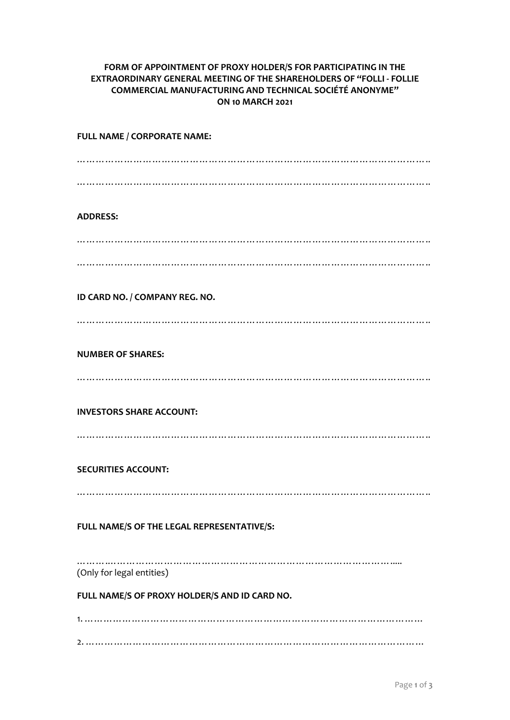## **FORM OF APPOINTMENT OF PROXY HOLDER/S FOR PARTICIPATING IN THE EXTRAORDINARY GENERAL MEETING OF THE SHAREHOLDERS OF "FOLLI - FOLLIE COMMERCIAL MANUFACTURING AND TECHNICAL SOCIÉTÉ ANONYME" ON 10 MARCH 2021**

| FULL NAME / CORPORATE NAME:                   |
|-----------------------------------------------|
|                                               |
|                                               |
| <b>ADDRESS:</b>                               |
|                                               |
|                                               |
| ID CARD NO. / COMPANY REG. NO.                |
|                                               |
|                                               |
| <b>NUMBER OF SHARES:</b>                      |
|                                               |
| <b>INVESTORS SHARE ACCOUNT:</b>               |
|                                               |
| <b>SECURITIES ACCOUNT:</b>                    |
|                                               |
|                                               |
| FULL NAME/S OF THE LEGAL REPRESENTATIVE/S:    |
| (Only for legal entities)                     |
| FULL NAME/S OF PROXY HOLDER/S AND ID CARD NO. |
|                                               |
|                                               |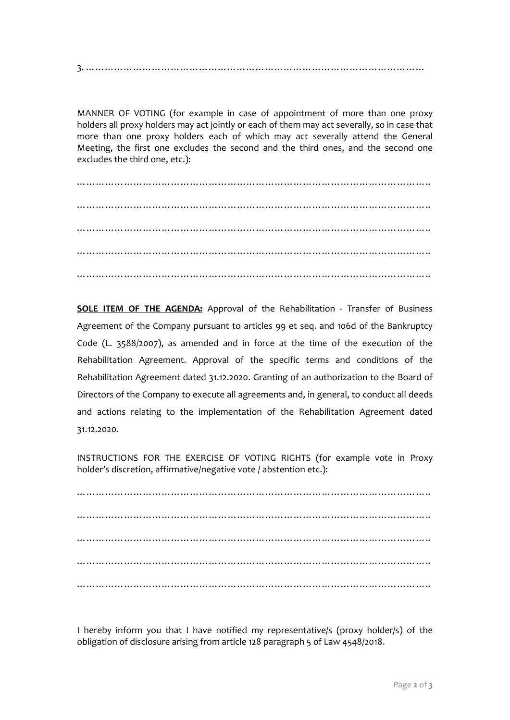3. ………………………………………………………………………………………………

MANNER OF VOTING (for example in case of appointment of more than one proxy holders all proxy holders may act jointly or each of them may act severally, so in case that more than one proxy holders each of which may act severally attend the General Meeting, the first one excludes the second and the third ones, and the second one excludes the third one, etc.):

………………………………………………………………………………………………….. ………………………………………………………………………………………………….. …………………………………………………………………………………………………… ………………………………………………………………………………………………….. …………………………………………………………………………………………………..

**SOLE ITEM OF THE AGENDA:** Approval of the Rehabilitation - Transfer of Business Agreement of the Company pursuant to articles 99 et seq. and 106d of the Bankruptcy Code (L. 3588/2007), as amended and in force at the time of the execution of the Rehabilitation Agreement. Approval of the specific terms and conditions of the Rehabilitation Agreement dated 31.12.2020. Granting of an authorization to the Board of Directors of the Company to execute all agreements and, in general, to conduct all deeds and actions relating to the implementation of the Rehabilitation Agreement dated 31.12.2020.

INSTRUCTIONS FOR THE EXERCISE OF VOTING RIGHTS (for example vote in Proxy holder's discretion, affirmative/negative vote / abstention etc.):

………………………………………………………………………………………………….. ………………………………………………………………………………………………….. ………………………………………………………………………………………………….. ………………………………………………………………………………………………….. …………………………………………………………………………………………………..

I hereby inform you that I have notified my representative/s (proxy holder/s) of the obligation of disclosure arising from article 128 paragraph 5 of Law 4548/2018.